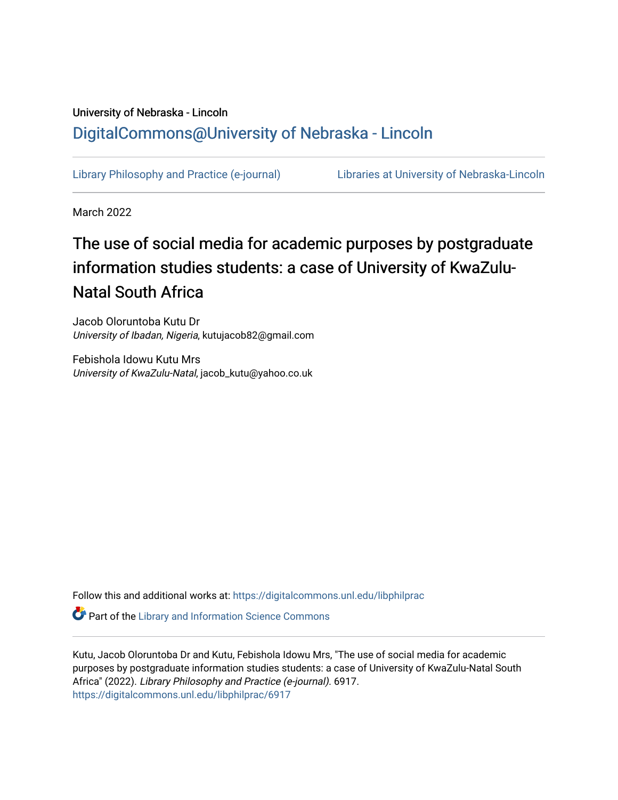# University of Nebraska - Lincoln [DigitalCommons@University of Nebraska - Lincoln](https://digitalcommons.unl.edu/)

[Library Philosophy and Practice \(e-journal\)](https://digitalcommons.unl.edu/libphilprac) [Libraries at University of Nebraska-Lincoln](https://digitalcommons.unl.edu/libraries) 

March 2022

# The use of social media for academic purposes by postgraduate information studies students: a case of University of KwaZulu-Natal South Africa

Jacob Oloruntoba Kutu Dr University of Ibadan, Nigeria, kutujacob82@gmail.com

Febishola Idowu Kutu Mrs University of KwaZulu-Natal, jacob\_kutu@yahoo.co.uk

Follow this and additional works at: [https://digitalcommons.unl.edu/libphilprac](https://digitalcommons.unl.edu/libphilprac?utm_source=digitalcommons.unl.edu%2Flibphilprac%2F6917&utm_medium=PDF&utm_campaign=PDFCoverPages) 

**Part of the Library and Information Science Commons** 

Kutu, Jacob Oloruntoba Dr and Kutu, Febishola Idowu Mrs, "The use of social media for academic purposes by postgraduate information studies students: a case of University of KwaZulu-Natal South Africa" (2022). Library Philosophy and Practice (e-journal). 6917. [https://digitalcommons.unl.edu/libphilprac/6917](https://digitalcommons.unl.edu/libphilprac/6917?utm_source=digitalcommons.unl.edu%2Flibphilprac%2F6917&utm_medium=PDF&utm_campaign=PDFCoverPages)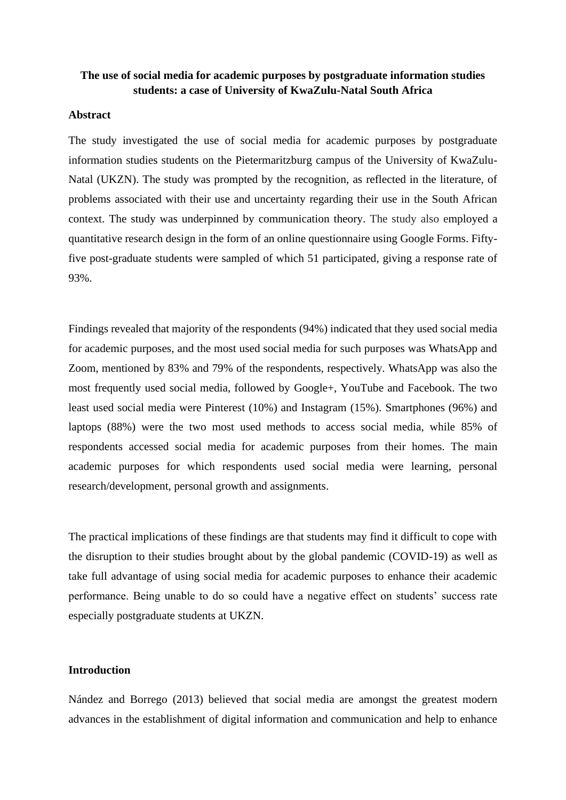# **The use of social media for academic purposes by postgraduate information studies students: a case of University of KwaZulu-Natal South Africa**

#### **Abstract**

The study investigated the use of social media for academic purposes by postgraduate information studies students on the Pietermaritzburg campus of the University of KwaZulu-Natal (UKZN). The study was prompted by the recognition, as reflected in the literature, of problems associated with their use and uncertainty regarding their use in the South African context. The study was underpinned by communication theory. The study also employed a quantitative research design in the form of an online questionnaire using Google Forms. Fiftyfive post-graduate students were sampled of which 51 participated, giving a response rate of 93%.

Findings revealed that majority of the respondents (94%) indicated that they used social media for academic purposes, and the most used social media for such purposes was WhatsApp and Zoom, mentioned by 83% and 79% of the respondents, respectively. WhatsApp was also the most frequently used social media, followed by Google+, YouTube and Facebook. The two least used social media were Pinterest (10%) and Instagram (15%). Smartphones (96%) and laptops (88%) were the two most used methods to access social media, while 85% of respondents accessed social media for academic purposes from their homes. The main academic purposes for which respondents used social media were learning, personal research/development, personal growth and assignments.

The practical implications of these findings are that students may find it difficult to cope with the disruption to their studies brought about by the global pandemic (COVID-19) as well as take full advantage of using social media for academic purposes to enhance their academic performance. Being unable to do so could have a negative effect on students' success rate especially postgraduate students at UKZN.

# **Introduction**

Nández and Borrego (2013) believed that social media are amongst the greatest modern advances in the establishment of digital information and communication and help to enhance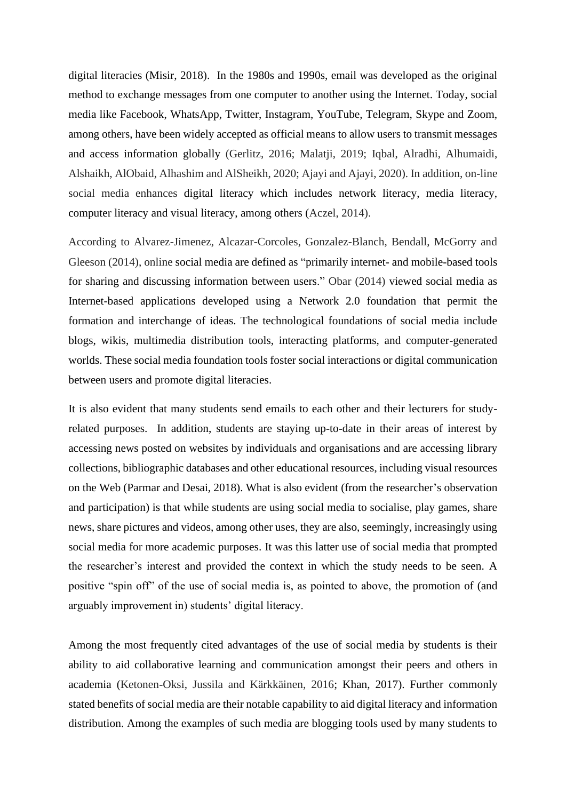digital literacies (Misir, 2018). In the 1980s and 1990s, email was developed as the original method to exchange messages from one computer to another using the Internet. Today, social media like Facebook, WhatsApp, Twitter, Instagram, YouTube, Telegram, Skype and Zoom, among others, have been widely accepted as official means to allow users to transmit messages and access information globally (Gerlitz, 2016; Malatji, 2019; Iqbal, Alradhi, Alhumaidi, Alshaikh, AlObaid, Alhashim and AlSheikh, 2020; Ajayi and Ajayi, 2020). In addition, on-line social media enhances digital literacy which includes network literacy, media literacy, computer literacy and visual literacy, among others (Aczel, 2014).

According to Alvarez-Jimenez, Alcazar-Corcoles, Gonzalez-Blanch, Bendall, McGorry and Gleeson (2014), online social media are defined as "primarily internet- and mobile-based tools for sharing and discussing information between users." Obar (2014) viewed social media as Internet-based applications developed using a Network 2.0 foundation that permit the formation and interchange of ideas. The technological foundations of social media include blogs, wikis, multimedia distribution tools, interacting platforms, and computer-generated worlds. These social media foundation tools foster social interactions or digital communication between users and promote digital literacies.

It is also evident that many students send emails to each other and their lecturers for studyrelated purposes. In addition, students are staying up-to-date in their areas of interest by accessing news posted on websites by individuals and organisations and are accessing library collections, bibliographic databases and other educational resources, including visual resources on the Web (Parmar and Desai, 2018). What is also evident (from the researcher's observation and participation) is that while students are using social media to socialise, play games, share news, share pictures and videos, among other uses, they are also, seemingly, increasingly using social media for more academic purposes. It was this latter use of social media that prompted the researcher's interest and provided the context in which the study needs to be seen. A positive "spin off" of the use of social media is, as pointed to above, the promotion of (and arguably improvement in) students' digital literacy.

Among the most frequently cited advantages of the use of social media by students is their ability to aid collaborative learning and communication amongst their peers and others in academia (Ketonen-Oksi, Jussila and Kärkkäinen, 2016; Khan, 2017). Further commonly stated benefits of social media are their notable capability to aid digital literacy and information distribution. Among the examples of such media are blogging tools used by many students to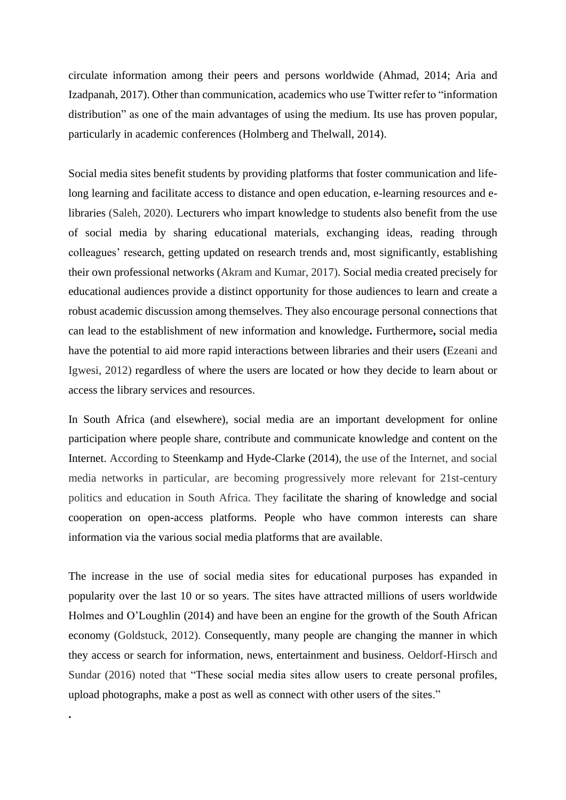circulate information among their peers and persons worldwide (Ahmad, 2014; Aria and Izadpanah, 2017). Other than communication, academics who use Twitter refer to "information distribution" as one of the main advantages of using the medium. Its use has proven popular, particularly in academic conferences (Holmberg and Thelwall, 2014).

Social media sites benefit students by providing platforms that foster communication and lifelong learning and facilitate access to distance and open education, e-learning resources and elibraries (Saleh, 2020). Lecturers who impart knowledge to students also benefit from the use of social media by sharing educational materials, exchanging ideas, reading through colleagues' research, getting updated on research trends and, most significantly, establishing their own professional networks (Akram and Kumar, 2017). Social media created precisely for educational audiences provide a distinct opportunity for those audiences to learn and create a robust academic discussion among themselves. They also encourage personal connections that can lead to the establishment of new information and knowledge**.** Furthermore**,** social media have the potential to aid more rapid interactions between libraries and their users **(**Ezeani and Igwesi, 2012) regardless of where the users are located or how they decide to learn about or access the library services and resources.

In South Africa (and elsewhere), social media are an important development for online participation where people share, contribute and communicate knowledge and content on the Internet. According to Steenkamp and Hyde-Clarke (2014), the use of the Internet, and social media networks in particular, are becoming progressively more relevant for 21st-century politics and education in South Africa. They facilitate the sharing of knowledge and social cooperation on open-access platforms. People who have common interests can share information via the various social media platforms that are available.

The increase in the use of social media sites for educational purposes has expanded in popularity over the last 10 or so years. The sites have attracted millions of users worldwide Holmes and O'Loughlin (2014) and have been an engine for the growth of the South African economy (Goldstuck, 2012). Consequently, many people are changing the manner in which they access or search for information, news, entertainment and business. Oeldorf-Hirsch and Sundar (2016) noted that "These social media sites allow users to create personal profiles, upload photographs, make a post as well as connect with other users of the sites."

**.**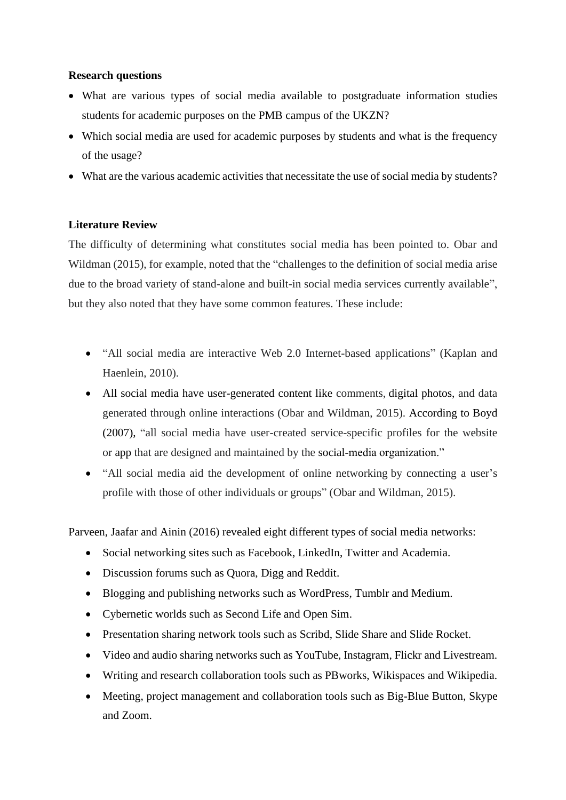# **Research questions**

- What are various types of social media available to postgraduate information studies students for academic purposes on the PMB campus of the UKZN?
- Which social media are used for academic purposes by students and what is the frequency of the usage?
- What are the various academic activities that necessitate the use of social media by students?

# **Literature Review**

The difficulty of determining what constitutes social media has been pointed to. Obar and Wildman (2015), for example, noted that the "challenges to the definition of social media arise due to the broad variety of stand-alone and built-in social media services currently available", but they also noted that they have some common features. These include:

- "All social media are interactive Web 2.0 Internet-based applications" (Kaplan and Haenlein, 2010).
- All social media have user-generated content like comments, digital photos, and data generated through online interactions (Obar and Wildman, 2015). According to Boyd (2007), "all social media have user-created service-specific profiles for the website or app that are designed and maintained by the social-media organization."
- "All social media aid the development of online networking by connecting a user's profile with those of other individuals or groups" (Obar and Wildman, 2015).

Parveen, Jaafar and Ainin (2016) revealed eight different types of social media networks:

- Social networking sites such as Facebook, LinkedIn, Twitter and Academia.
- Discussion forums such as Quora, Digg and Reddit.
- Blogging and publishing networks such as WordPress, Tumblr and Medium.
- Cybernetic worlds such as Second Life and Open Sim.
- Presentation sharing network tools such as Scribd, Slide Share and Slide Rocket.
- Video and audio sharing networks such as YouTube, Instagram, Flickr and Livestream.
- Writing and research collaboration tools such as PBworks, Wikispaces and Wikipedia.
- Meeting, project management and collaboration tools such as Big-Blue Button, Skype and Zoom.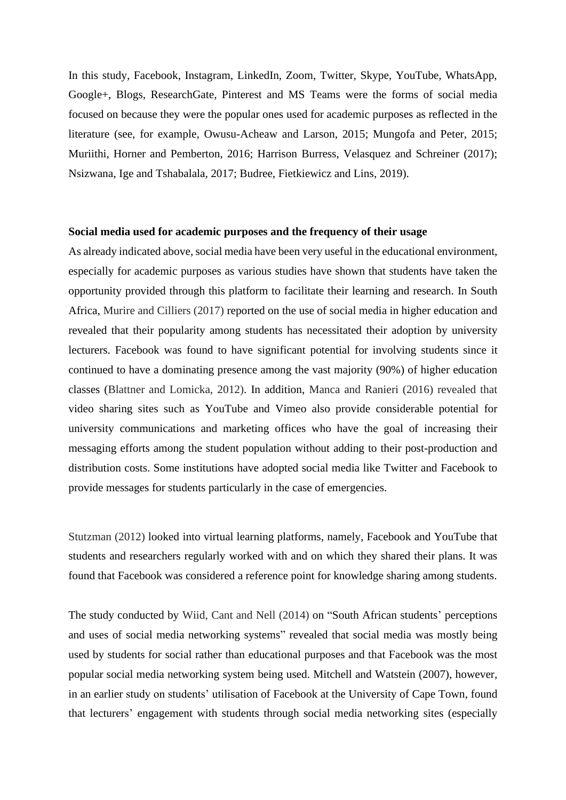In this study, Facebook, Instagram, LinkedIn, Zoom, Twitter, Skype, YouTube, WhatsApp, Google+, Blogs, ResearchGate, Pinterest and MS Teams were the forms of social media focused on because they were the popular ones used for academic purposes as reflected in the literature (see, for example, Owusu-Acheaw and Larson, 2015; Mungofa and Peter, 2015; Muriithi, Horner and Pemberton, 2016; Harrison Burress, Velasquez and Schreiner (2017); Nsizwana, Ige and Tshabalala, 2017; Budree, Fietkiewicz and Lins, 2019).

#### **Social media used for academic purposes and the frequency of their usage**

As already indicated above, social media have been very useful in the educational environment, especially for academic purposes as various studies have shown that students have taken the opportunity provided through this platform to facilitate their learning and research. In South Africa, Murire and Cilliers (2017) reported on the use of social media in higher education and revealed that their popularity among students has necessitated their adoption by university lecturers. Facebook was found to have significant potential for involving students since it continued to have a dominating presence among the vast majority (90%) of higher education classes (Blattner and Lomicka, 2012). In addition, Manca and Ranieri (2016) revealed that video sharing sites such as YouTube and Vimeo also provide considerable potential for university communications and marketing offices who have the goal of increasing their messaging efforts among the student population without adding to their post-production and distribution costs. Some institutions have adopted social media like Twitter and Facebook to provide messages for students particularly in the case of emergencies.

Stutzman (2012) looked into virtual learning platforms, namely, Facebook and YouTube that students and researchers regularly worked with and on which they shared their plans. It was found that Facebook was considered a reference point for knowledge sharing among students.

The study conducted by Wiid, Cant and Nell (2014) on "South African students' perceptions and uses of social media networking systems" revealed that social media was mostly being used by students for social rather than educational purposes and that Facebook was the most popular social media networking system being used. Mitchell and Watstein (2007), however, in an earlier study on students' utilisation of Facebook at the University of Cape Town, found that lecturers' engagement with students through social media networking sites (especially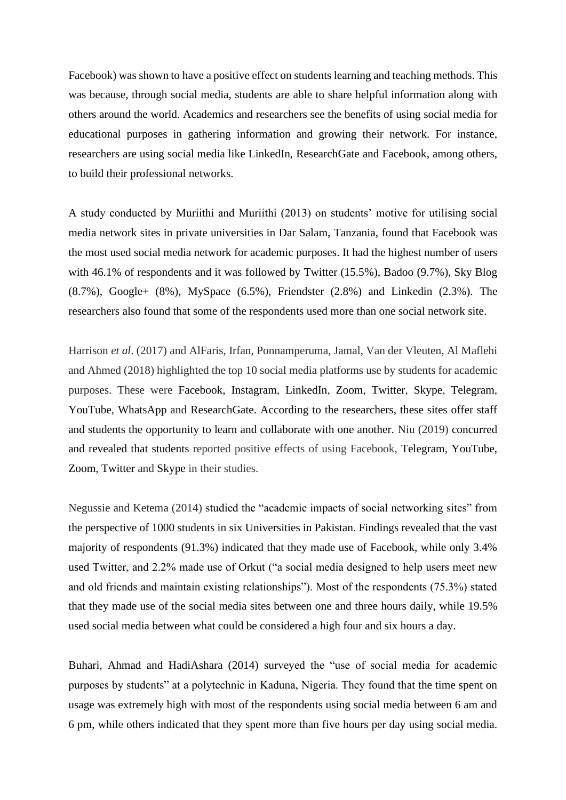Facebook) was shown to have a positive effect on students learning and teaching methods. This was because, through social media, students are able to share helpful information along with others around the world. Academics and researchers see the benefits of using social media for educational purposes in gathering information and growing their network. For instance, researchers are using social media like LinkedIn, ResearchGate and Facebook, among others, to build their professional networks.

A study conducted by Muriithi and Muriithi (2013) on students' motive for utilising social media network sites in private universities in Dar Salam, Tanzania, found that Facebook was the most used social media network for academic purposes. It had the highest number of users with 46.1% of respondents and it was followed by Twitter (15.5%), Badoo (9.7%), Sky Blog (8.7%), Google+ (8%), MySpace (6.5%), Friendster (2.8%) and Linkedin (2.3%). The researchers also found that some of the respondents used more than one social network site.

Harrison *et al*. (2017) and AlFaris, Irfan, Ponnamperuma, Jamal, Van der Vleuten, Al Maflehi and Ahmed (2018) highlighted the top 10 social media platforms use by students for academic purposes. These were Facebook, Instagram, LinkedIn, Zoom, Twitter, Skype, Telegram, YouTube, WhatsApp and ResearchGate. According to the researchers, these sites offer staff and students the opportunity to learn and collaborate with one another. Niu (2019) concurred and revealed that students reported positive effects of using Facebook, Telegram, YouTube, Zoom, Twitter and Skype in their studies.

Negussie and Ketema (2014) studied the "academic impacts of social networking sites" from the perspective of 1000 students in six Universities in Pakistan. Findings revealed that the vast majority of respondents (91.3%) indicated that they made use of Facebook, while only 3.4% used Twitter, and 2.2% made use of Orkut ("a social media designed to help users meet new and old friends and maintain existing relationships"). Most of the respondents (75.3%) stated that they made use of the social media sites between one and three hours daily, while 19.5% used social media between what could be considered a high four and six hours a day.

Buhari, Ahmad and HadiAshara (2014) surveyed the "use of social media for academic purposes by students" at a polytechnic in Kaduna, Nigeria. They found that the time spent on usage was extremely high with most of the respondents using social media between 6 am and 6 pm, while others indicated that they spent more than five hours per day using social media.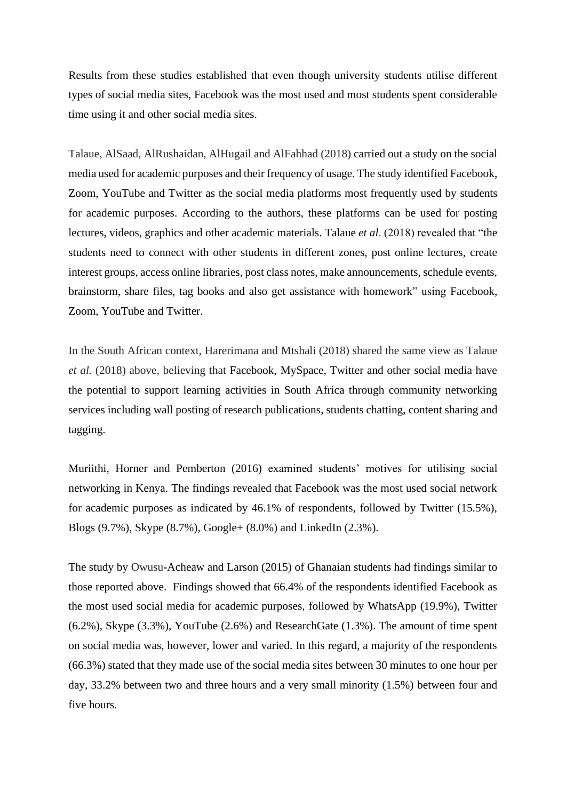Results from these studies established that even though university students utilise different types of social media sites, Facebook was the most used and most students spent considerable time using it and other social media sites.

Talaue, AlSaad, AlRushaidan, AlHugail and AlFahhad (2018) carried out a study on the social media used for academic purposes and their frequency of usage. The study identified Facebook, Zoom, YouTube and Twitter as the social media platforms most frequently used by students for academic purposes. According to the authors, these platforms can be used for posting lectures, videos, graphics and other academic materials. Talaue *et al*. (2018) revealed that "the students need to connect with other students in different zones, post online lectures, create interest groups, access online libraries, post class notes, make announcements, schedule events, brainstorm, share files, tag books and also get assistance with homework" using Facebook, Zoom, YouTube and Twitter.

In the South African context, Harerimana and Mtshali (2018) shared the same view as Talaue *et al.* (2018) above, believing that Facebook, MySpace, Twitter and other social media have the potential to support learning activities in South Africa through community networking services including wall posting of research publications, students chatting, content sharing and tagging.

Muriithi, Horner and Pemberton (2016) examined students' motives for utilising social networking in Kenya. The findings revealed that Facebook was the most used social network for academic purposes as indicated by 46.1% of respondents, followed by Twitter (15.5%), Blogs (9.7%), Skype (8.7%), Google+ (8.0%) and LinkedIn (2.3%).

The study by Owusu**-**Acheaw and Larson (2015) of Ghanaian students had findings similar to those reported above. Findings showed that 66.4% of the respondents identified Facebook as the most used social media for academic purposes, followed by WhatsApp (19.9%), Twitter (6.2%), Skype (3.3%), YouTube (2.6%) and ResearchGate (1.3%). The amount of time spent on social media was, however, lower and varied. In this regard, a majority of the respondents (66.3%) stated that they made use of the social media sites between 30 minutes to one hour per day, 33.2% between two and three hours and a very small minority (1.5%) between four and five hours.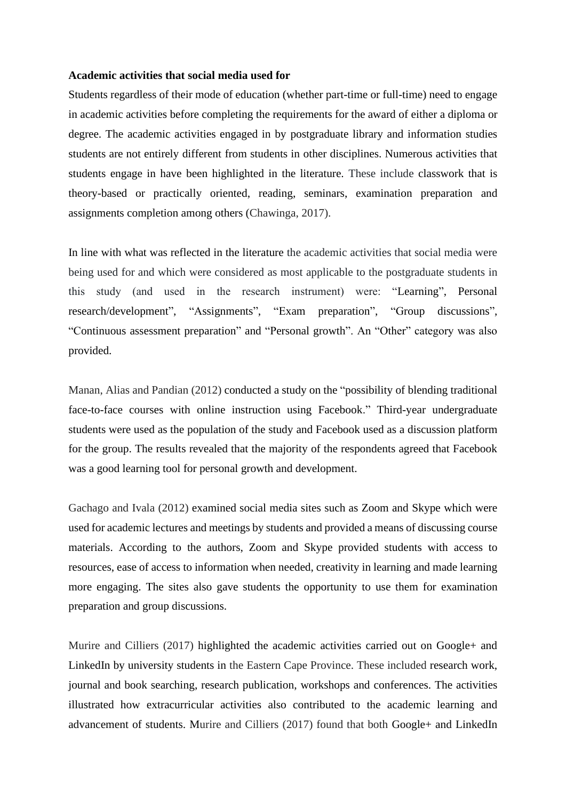#### **Academic activities that social media used for**

Students regardless of their mode of education (whether part-time or full-time) need to engage in academic activities before completing the requirements for the award of either a diploma or degree. The academic activities engaged in by postgraduate library and information studies students are not entirely different from students in other disciplines. Numerous activities that students engage in have been highlighted in the literature. These include classwork that is theory-based or practically oriented, reading, seminars, examination preparation and assignments completion among others (Chawinga, 2017).

In line with what was reflected in the literature the academic activities that social media were being used for and which were considered as most applicable to the postgraduate students in this study (and used in the research instrument) were: "Learning", Personal research/development", "Assignments", "Exam preparation", "Group discussions", "Continuous assessment preparation" and "Personal growth". An "Other" category was also provided.

Manan, Alias and Pandian (2012) conducted a study on the "possibility of blending traditional face-to-face courses with online instruction using Facebook." Third-year undergraduate students were used as the population of the study and Facebook used as a discussion platform for the group. The results revealed that the majority of the respondents agreed that Facebook was a good learning tool for personal growth and development.

Gachago and Ivala (2012) examined social media sites such as Zoom and Skype which were used for academic lectures and meetings by students and provided a means of discussing course materials. According to the authors, Zoom and Skype provided students with access to resources, ease of access to information when needed, creativity in learning and made learning more engaging. The sites also gave students the opportunity to use them for examination preparation and group discussions.

Murire and Cilliers (2017) highlighted the academic activities carried out on Google+ and LinkedIn by university students in the Eastern Cape Province. These included research work, journal and book searching, research publication, workshops and conferences. The activities illustrated how extracurricular activities also contributed to the academic learning and advancement of students. Murire and Cilliers (2017) found that both Google+ and LinkedIn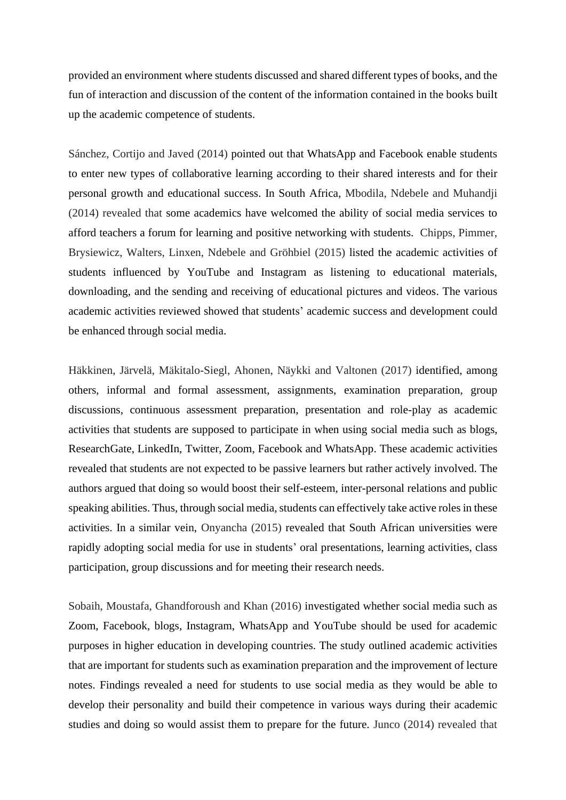provided an environment where students discussed and shared different types of books, and the fun of interaction and discussion of the content of the information contained in the books built up the academic competence of students.

Sánchez, Cortijo and Javed (2014) pointed out that WhatsApp and Facebook enable students to enter new types of collaborative learning according to their shared interests and for their personal growth and educational success. In South Africa, Mbodila, Ndebele and Muhandji (2014) revealed that some academics have welcomed the ability of social media services to afford teachers a forum for learning and positive networking with students. Chipps, Pimmer, Brysiewicz, Walters, Linxen, Ndebele and Gröhbiel (2015) listed the academic activities of students influenced by YouTube and Instagram as listening to educational materials, downloading, and the sending and receiving of educational pictures and videos. The various academic activities reviewed showed that students' academic success and development could be enhanced through social media.

Häkkinen, Järvelä, Mäkitalo-Siegl, Ahonen, Näykki and Valtonen (2017) identified, among others, informal and formal assessment, assignments, examination preparation, group discussions, continuous assessment preparation, presentation and role-play as academic activities that students are supposed to participate in when using social media such as blogs, ResearchGate, LinkedIn, Twitter, Zoom, Facebook and WhatsApp. These academic activities revealed that students are not expected to be passive learners but rather actively involved. The authors argued that doing so would boost their self-esteem, inter-personal relations and public speaking abilities. Thus, through social media, students can effectively take active roles in these activities. In a similar vein, Onyancha (2015) revealed that South African universities were rapidly adopting social media for use in students' oral presentations, learning activities, class participation, group discussions and for meeting their research needs.

Sobaih, Moustafa, Ghandforoush and Khan (2016) investigated whether social media such as Zoom, Facebook, blogs, Instagram, WhatsApp and YouTube should be used for academic purposes in higher education in developing countries. The study outlined academic activities that are important for students such as examination preparation and the improvement of lecture notes. Findings revealed a need for students to use social media as they would be able to develop their personality and build their competence in various ways during their academic studies and doing so would assist them to prepare for the future. Junco (2014) revealed that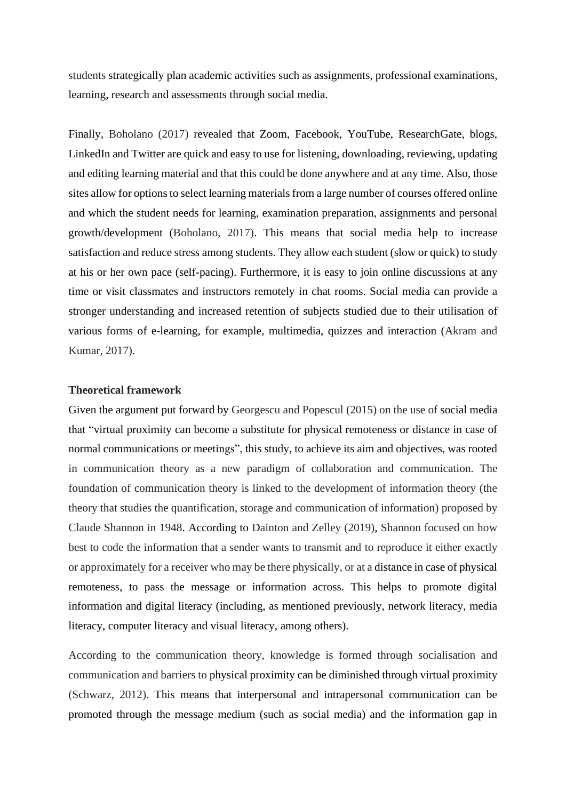students strategically plan academic activities such as assignments, professional examinations, learning, research and assessments through social media.

Finally, Boholano (2017) revealed that Zoom, Facebook, YouTube, ResearchGate, blogs, LinkedIn and Twitter are quick and easy to use for listening, downloading, reviewing, updating and editing learning material and that this could be done anywhere and at any time. Also, those sites allow for options to select learning materials from a large number of courses offered online and which the student needs for learning, examination preparation, assignments and personal growth/development (Boholano, 2017). This means that social media help to increase satisfaction and reduce stress among students. They allow each student (slow or quick) to study at his or her own pace (self-pacing). Furthermore, it is easy to join online discussions at any time or visit classmates and instructors remotely in chat rooms. Social media can provide a stronger understanding and increased retention of subjects studied due to their utilisation of various forms of e-learning, for example, multimedia, quizzes and interaction (Akram and Kumar, 2017).

#### **Theoretical framework**

Given the argument put forward by Georgescu and Popescul (2015) on the use of social media that "virtual proximity can become a substitute for physical remoteness or distance in case of normal communications or meetings", this study, to achieve its aim and objectives, was rooted in communication theory as a new paradigm of collaboration and communication. The foundation of communication theory is linked to the development of information theory (the theory that studies the quantification, storage and communication of information) proposed by Claude Shannon in 1948. According to Dainton and Zelley (2019), Shannon focused on how best to code the information that a sender wants to transmit and to reproduce it either exactly or approximately for a receiver who may be there physically, or at a distance in case of physical remoteness, to pass the message or information across. This helps to promote digital information and digital literacy (including, as mentioned previously, network literacy, media literacy, computer literacy and visual literacy, among others).

According to the communication theory, knowledge is formed through socialisation and communication and barriers to physical proximity can be diminished through virtual proximity (Schwarz, 2012). This means that interpersonal and intrapersonal communication can be promoted through the message medium (such as social media) and the information gap in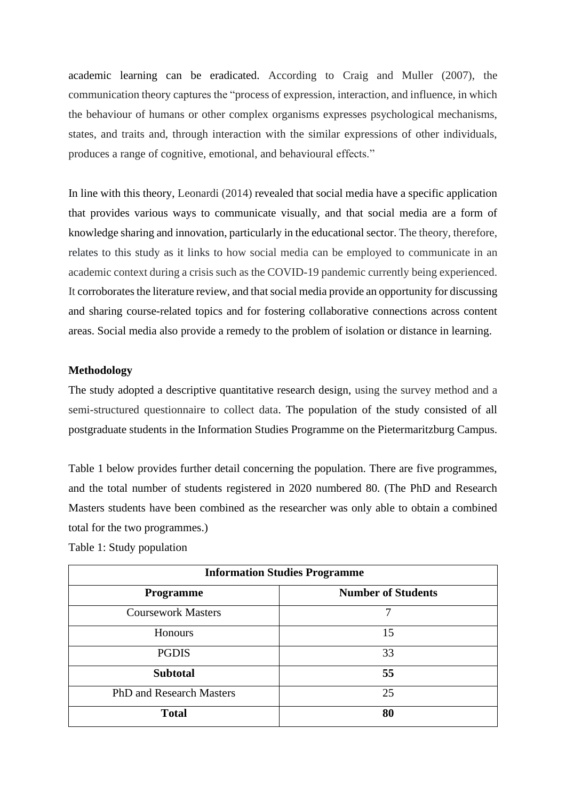academic learning can be eradicated. According to Craig and Muller (2007), the communication theory captures the "process of expression, interaction, and influence, in which the behaviour of humans or other complex organisms expresses psychological mechanisms, states, and traits and, through interaction with the similar expressions of other individuals, produces a range of cognitive, emotional, and behavioural effects."

In line with this theory, Leonardi (2014) revealed that social media have a specific application that provides various ways to communicate visually, and that social media are a form of knowledge sharing and innovation, particularly in the educational sector. The theory, therefore, relates to this study as it links to how social media can be employed to communicate in an academic context during a crisis such as the COVID-19 pandemic currently being experienced. It corroborates the literature review, and that social media provide an opportunity for discussing and sharing course-related topics and for fostering collaborative connections across content areas. Social media also provide a remedy to the problem of isolation or distance in learning.

#### **Methodology**

The study adopted a descriptive quantitative research design, using the survey method and a semi-structured questionnaire to collect data. The population of the study consisted of all postgraduate students in the Information Studies Programme on the Pietermaritzburg Campus.

Table 1 below provides further detail concerning the population. There are five programmes, and the total number of students registered in 2020 numbered 80. (The PhD and Research Masters students have been combined as the researcher was only able to obtain a combined total for the two programmes.)

Table 1: Study population

| <b>Information Studies Programme</b> |                           |  |  |  |  |
|--------------------------------------|---------------------------|--|--|--|--|
| <b>Programme</b>                     | <b>Number of Students</b> |  |  |  |  |
| <b>Coursework Masters</b>            | 7                         |  |  |  |  |
| Honours                              | 15                        |  |  |  |  |
| <b>PGDIS</b>                         | 33                        |  |  |  |  |
| <b>Subtotal</b>                      | 55                        |  |  |  |  |
| PhD and Research Masters             | 25                        |  |  |  |  |
| <b>Total</b>                         | 80                        |  |  |  |  |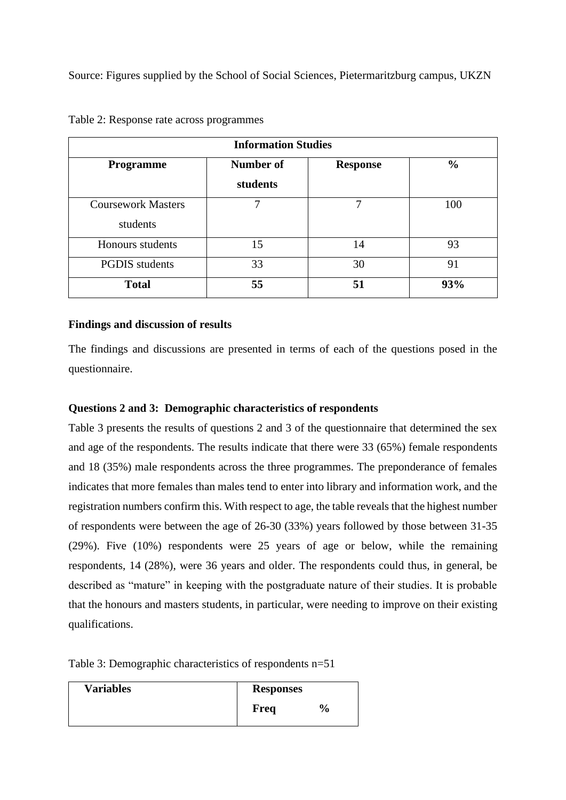Source: Figures supplied by the School of Social Sciences, Pietermaritzburg campus, UKZN

| <b>Information Studies</b>            |                       |                 |               |  |  |  |  |
|---------------------------------------|-----------------------|-----------------|---------------|--|--|--|--|
| <b>Programme</b>                      | Number of<br>students | <b>Response</b> | $\frac{0}{0}$ |  |  |  |  |
| <b>Coursework Masters</b><br>students | 7                     | ┑               | 100           |  |  |  |  |
| Honours students                      | 15                    | 14              | 93            |  |  |  |  |
| <b>PGDIS</b> students                 | 33                    | 30              | 91            |  |  |  |  |
| <b>Total</b>                          | 55                    | 51              | 93%           |  |  |  |  |

Table 2: Response rate across programmes

# **Findings and discussion of results**

The findings and discussions are presented in terms of each of the questions posed in the questionnaire.

# **Questions 2 and 3: Demographic characteristics of respondents**

Table 3 presents the results of questions 2 and 3 of the questionnaire that determined the sex and age of the respondents. The results indicate that there were 33 (65%) female respondents and 18 (35%) male respondents across the three programmes. The preponderance of females indicates that more females than males tend to enter into library and information work, and the registration numbers confirm this. With respect to age, the table reveals that the highest number of respondents were between the age of 26-30 (33%) years followed by those between 31-35 (29%). Five (10%) respondents were 25 years of age or below, while the remaining respondents, 14 (28%), were 36 years and older. The respondents could thus, in general, be described as "mature" in keeping with the postgraduate nature of their studies. It is probable that the honours and masters students, in particular, were needing to improve on their existing qualifications.

Table 3: Demographic characteristics of respondents n=51

| <b>Variables</b> | <b>Responses</b> |               |
|------------------|------------------|---------------|
|                  | Freq             | $\frac{6}{9}$ |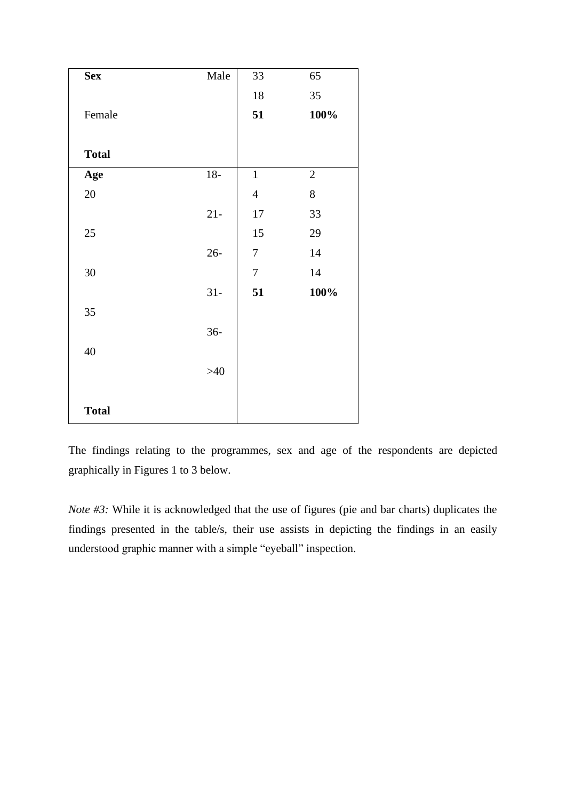| <b>Sex</b>   | Male   | 33               | 65           |
|--------------|--------|------------------|--------------|
|              |        | $18\,$           | 35           |
| Female       |        | 51               | 100%         |
|              |        |                  |              |
| <b>Total</b> |        |                  |              |
| Age          | $18-$  | $\,1\,$          | $\mathbf{2}$ |
| $20\,$       |        | $\overline{4}$   | 8            |
|              | $21 -$ | $17\,$           | 33           |
| 25           |        | 15               | 29           |
|              | $26 -$ | $\boldsymbol{7}$ | 14           |
| $30\,$       |        | $\boldsymbol{7}$ | $14\,$       |
|              | $31 -$ | 51               | 100%         |
| 35           |        |                  |              |
|              | $36 -$ |                  |              |
| 40           |        |                  |              |
|              | $>40$  |                  |              |
|              |        |                  |              |
| <b>Total</b> |        |                  |              |

The findings relating to the programmes, sex and age of the respondents are depicted graphically in Figures 1 to 3 below.

*Note* #3: While it is acknowledged that the use of figures (pie and bar charts) duplicates the findings presented in the table/s, their use assists in depicting the findings in an easily understood graphic manner with a simple "eyeball" inspection.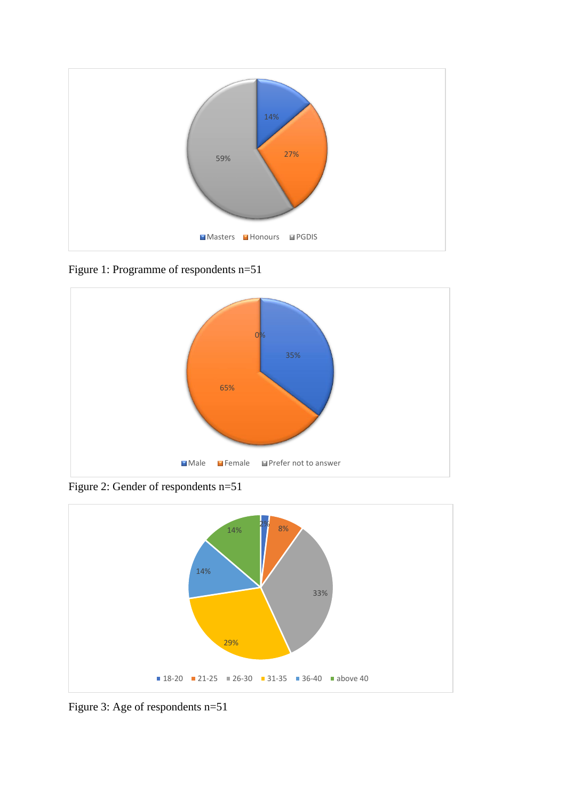

Figure 1: Programme of respondents n=51



Figure 2: Gender of respondents n=51



Figure 3: Age of respondents n=51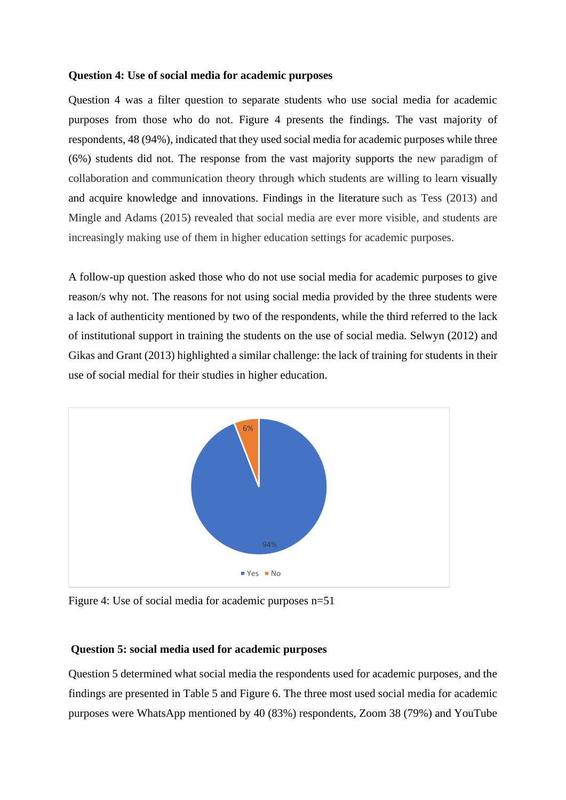#### **Question 4: Use of social media for academic purposes**

Question 4 was a filter question to separate students who use social media for academic purposes from those who do not. Figure 4 presents the findings. The vast majority of respondents, 48 (94%), indicated that they used social media for academic purposes while three (6%) students did not. The response from the vast majority supports the new paradigm of collaboration and communication theory through which students are willing to learn visually and acquire knowledge and innovations. Findings in the literature such as Tess (2013) and Mingle and Adams (2015) revealed that social media are ever more visible, and students are increasingly making use of them in higher education settings for academic purposes.

A follow-up question asked those who do not use social media for academic purposes to give reason/s why not. The reasons for not using social media provided by the three students were a lack of authenticity mentioned by two of the respondents, while the third referred to the lack of institutional support in training the students on the use of social media. Selwyn (2012) and Gikas and Grant (2013) highlighted a similar challenge: the lack of training for students in their use of social medial for their studies in higher education.



Figure 4: Use of social media for academic purposes n=51

# **Question 5: social media used for academic purposes**

Question 5 determined what social media the respondents used for academic purposes, and the findings are presented in Table 5 and Figure 6. The three most used social media for academic purposes were WhatsApp mentioned by 40 (83%) respondents, Zoom 38 (79%) and YouTube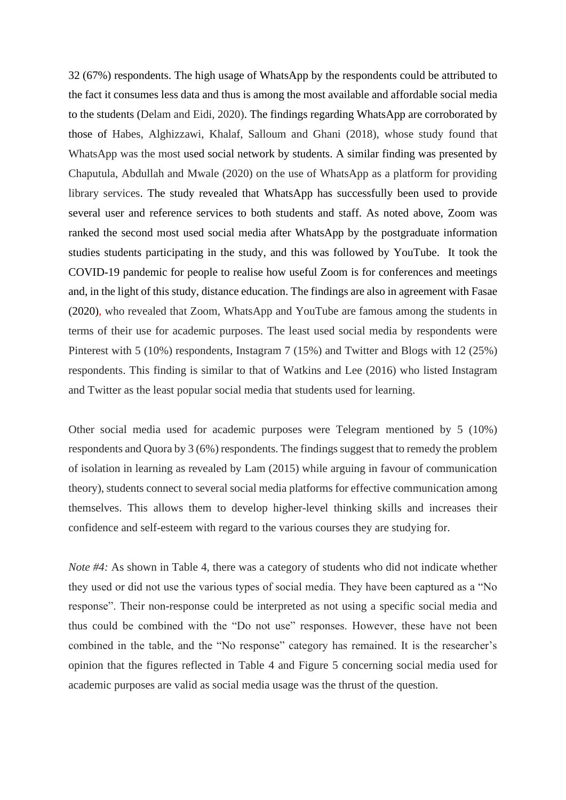32 (67%) respondents. The high usage of WhatsApp by the respondents could be attributed to the fact it consumes less data and thus is among the most available and affordable social media to the students (Delam and Eidi, 2020). The findings regarding WhatsApp are corroborated by those of Habes, Alghizzawi, Khalaf, Salloum and Ghani (2018), whose study found that WhatsApp was the most used social network by students. A similar finding was presented by Chaputula, Abdullah and Mwale (2020) on the use of WhatsApp as a platform for providing library services. The study revealed that WhatsApp has successfully been used to provide several user and reference services to both students and staff. As noted above, Zoom was ranked the second most used social media after WhatsApp by the postgraduate information studies students participating in the study, and this was followed by YouTube. It took the COVID-19 pandemic for people to realise how useful Zoom is for conferences and meetings and, in the light of this study, distance education. The findings are also in agreement with Fasae (2020), who revealed that Zoom, WhatsApp and YouTube are famous among the students in terms of their use for academic purposes. The least used social media by respondents were Pinterest with 5 (10%) respondents, Instagram 7 (15%) and Twitter and Blogs with 12 (25%) respondents. This finding is similar to that of Watkins and Lee (2016) who listed Instagram and Twitter as the least popular social media that students used for learning.

Other social media used for academic purposes were Telegram mentioned by 5 (10%) respondents and Quora by 3 (6%) respondents. The findings suggest that to remedy the problem of isolation in learning as revealed by Lam (2015) while arguing in favour of communication theory), students connect to several social media platforms for effective communication among themselves. This allows them to develop higher-level thinking skills and increases their confidence and self-esteem with regard to the various courses they are studying for.

*Note #4:* As shown in Table 4, there was a category of students who did not indicate whether they used or did not use the various types of social media. They have been captured as a "No response". Their non-response could be interpreted as not using a specific social media and thus could be combined with the "Do not use" responses. However, these have not been combined in the table, and the "No response" category has remained. It is the researcher's opinion that the figures reflected in Table 4 and Figure 5 concerning social media used for academic purposes are valid as social media usage was the thrust of the question.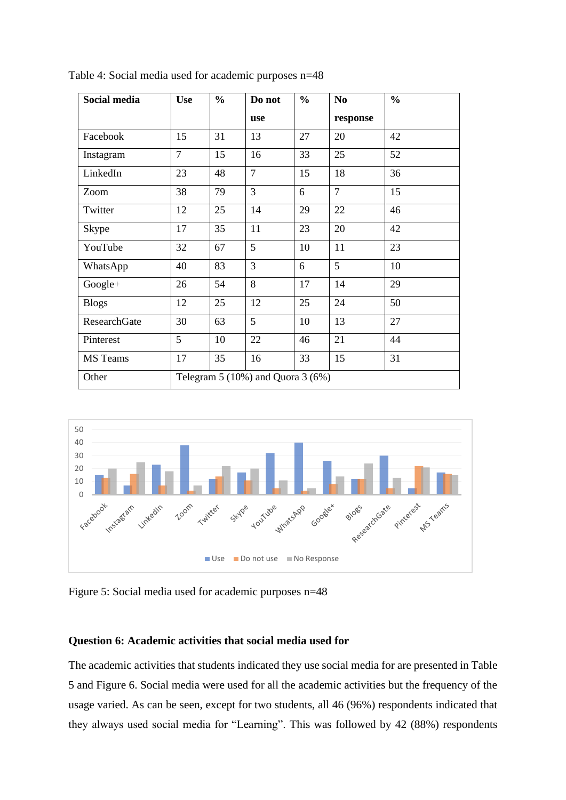| Social media | <b>Use</b>                            | $\frac{0}{0}$ | Do not         | $\frac{0}{0}$ | N <sub>0</sub> | $\frac{0}{0}$ |
|--------------|---------------------------------------|---------------|----------------|---------------|----------------|---------------|
|              |                                       |               | use            |               | response       |               |
| Facebook     | 15                                    | 31            | 13             | 27            | 20             | 42            |
| Instagram    | $\overline{7}$                        | 15            | 16             | 33            | 25             | 52            |
| LinkedIn     | 23                                    | 48            | $\overline{7}$ | 15            | 18             | 36            |
| Zoom         | 38                                    | 79            | 3              | 6             | $\overline{7}$ | 15            |
| Twitter      | 12                                    | 25            | 14             | 29            | 22             | 46            |
| Skype        | 17                                    | 35            | 11             | 23            | 20             | 42            |
| YouTube      | 32                                    | 67            | 5              | 10            | 11             | 23            |
| WhatsApp     | 40                                    | 83            | 3              | 6             | 5              | 10            |
| $Google+$    | 26                                    | 54            | 8              | 17            | 14             | 29            |
| <b>Blogs</b> | 12                                    | 25            | 12             | 25            | 24             | 50            |
| ResearchGate | 30                                    | 63            | 5              | 10            | 13             | 27            |
| Pinterest    | 5                                     | 10            | 22             | 46            | 21             | 44            |
| MS Teams     | 17                                    | 35            | 16             | 33            | 15             | 31            |
| Other        | Telegram $5(10\%)$ and Quora $3(6\%)$ |               |                |               |                |               |

Table 4: Social media used for academic purposes n=48



Figure 5: Social media used for academic purposes n=48

# **Question 6: Academic activities that social media used for**

The academic activities that students indicated they use social media for are presented in Table 5 and Figure 6. Social media were used for all the academic activities but the frequency of the usage varied. As can be seen, except for two students, all 46 (96%) respondents indicated that they always used social media for "Learning". This was followed by 42 (88%) respondents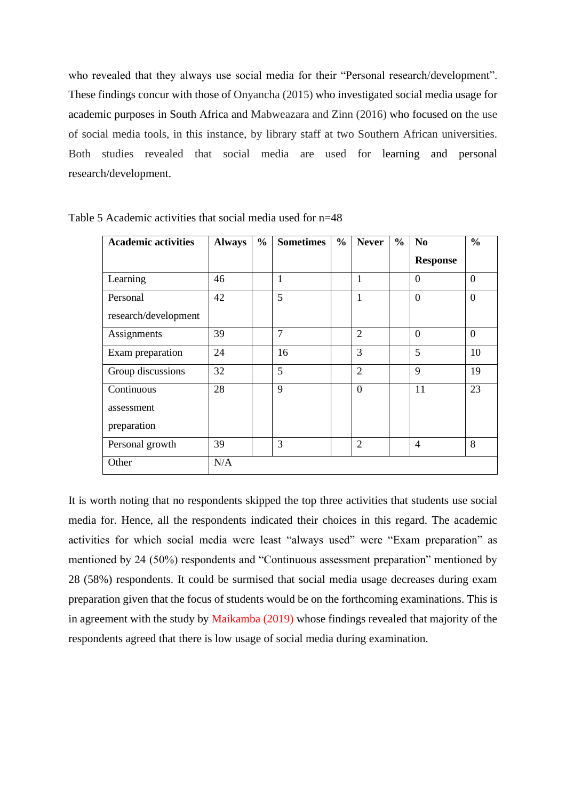who revealed that they always use social media for their "Personal research/development". These findings concur with those of Onyancha (2015) who investigated social media usage for academic purposes in South Africa and Mabweazara and Zinn (2016) who focused on the use of social media tools, in this instance, by library staff at two Southern African universities. Both studies revealed that social media are used for learning and personal research/development.

| <b>Academic activities</b> | <b>Always</b> | $\frac{0}{0}$ | <b>Sometimes</b> | $\frac{6}{10}$ | <b>Never</b>   | $\frac{0}{0}$ | N <sub>0</sub>  | $\frac{0}{0}$  |
|----------------------------|---------------|---------------|------------------|----------------|----------------|---------------|-----------------|----------------|
|                            |               |               |                  |                |                |               | <b>Response</b> |                |
| Learning                   | 46            |               | 1                |                | 1              |               | $\theta$        | $\overline{0}$ |
| Personal                   | 42            |               | 5                |                | $\mathbf{1}$   |               | $\overline{0}$  | $\overline{0}$ |
| research/development       |               |               |                  |                |                |               |                 |                |
| Assignments                | 39            |               | $\overline{7}$   |                | $\overline{2}$ |               | $\theta$        | $\theta$       |
| Exam preparation           | 24            |               | 16               |                | 3              |               | 5               | 10             |
| Group discussions          | 32            |               | 5                |                | $\overline{2}$ |               | 9               | 19             |
| Continuous                 | 28            |               | 9                |                | $\theta$       |               | 11              | 23             |
| assessment                 |               |               |                  |                |                |               |                 |                |
| preparation                |               |               |                  |                |                |               |                 |                |
| Personal growth            | 39            |               | 3                |                | $\overline{2}$ |               | $\overline{4}$  | 8              |
| Other                      | N/A           |               |                  |                |                |               |                 |                |

Table 5 Academic activities that social media used for n=48

It is worth noting that no respondents skipped the top three activities that students use social media for. Hence, all the respondents indicated their choices in this regard. The academic activities for which social media were least "always used" were "Exam preparation" as mentioned by 24 (50%) respondents and "Continuous assessment preparation" mentioned by 28 (58%) respondents. It could be surmised that social media usage decreases during exam preparation given that the focus of students would be on the forthcoming examinations. This is in agreement with the study by Maikamba (2019) whose findings revealed that majority of the respondents agreed that there is low usage of social media during examination.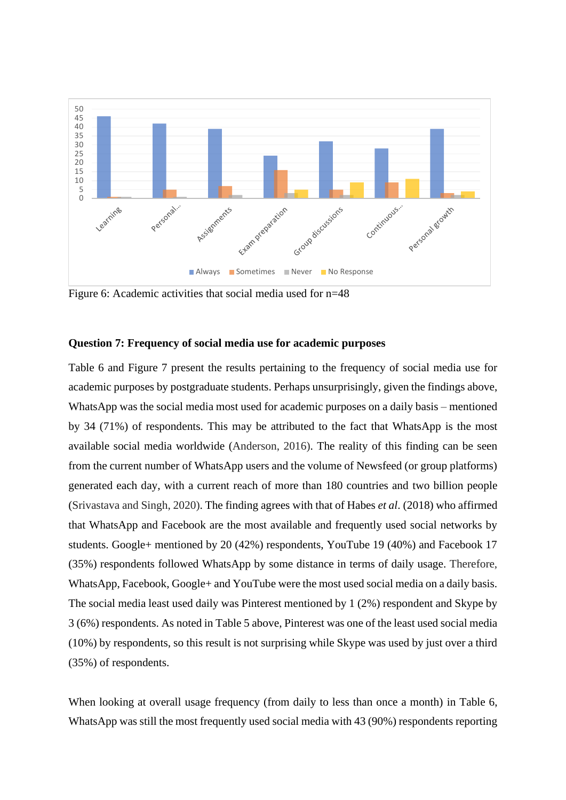

Figure 6: Academic activities that social media used for n=48

#### **Question 7: Frequency of social media use for academic purposes**

Table 6 and Figure 7 present the results pertaining to the frequency of social media use for academic purposes by postgraduate students. Perhaps unsurprisingly, given the findings above, WhatsApp was the social media most used for academic purposes on a daily basis – mentioned by 34 (71%) of respondents. This may be attributed to the fact that WhatsApp is the most available social media worldwide (Anderson, 2016). The reality of this finding can be seen from the current number of WhatsApp users and the volume of Newsfeed (or group platforms) generated each day, with a current reach of more than 180 countries and two billion people (Srivastava and Singh, 2020). The finding agrees with that of Habes *et al*. (2018) who affirmed that WhatsApp and Facebook are the most available and frequently used social networks by students. Google+ mentioned by 20 (42%) respondents, YouTube 19 (40%) and Facebook 17 (35%) respondents followed WhatsApp by some distance in terms of daily usage. Therefore, WhatsApp, Facebook, Google+ and YouTube were the most used social media on a daily basis. The social media least used daily was Pinterest mentioned by 1 (2%) respondent and Skype by 3 (6%) respondents. As noted in Table 5 above, Pinterest was one of the least used social media (10%) by respondents, so this result is not surprising while Skype was used by just over a third (35%) of respondents.

When looking at overall usage frequency (from daily to less than once a month) in Table 6, WhatsApp was still the most frequently used social media with 43 (90%) respondents reporting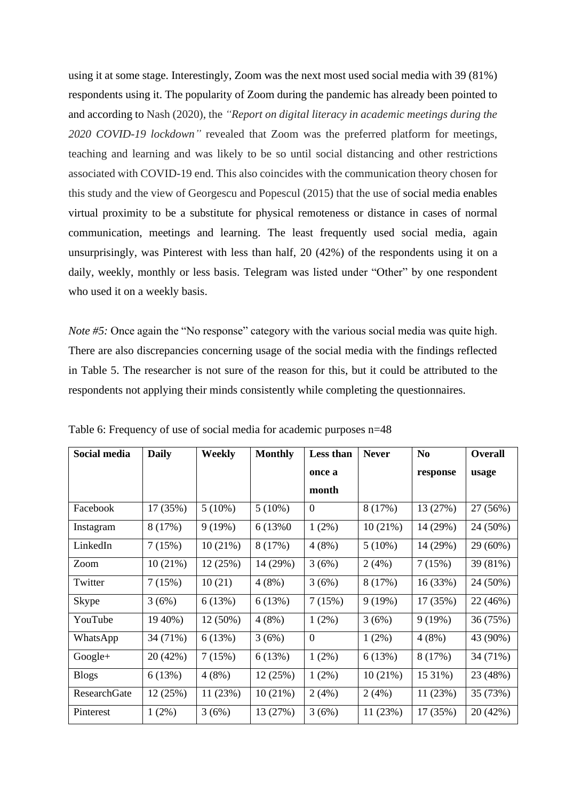using it at some stage. Interestingly, Zoom was the next most used social media with 39 (81%) respondents using it. The popularity of Zoom during the pandemic has already been pointed to and according to Nash (2020), the *"Report on digital literacy in academic meetings during the 2020 COVID-19 lockdown"* revealed that Zoom was the preferred platform for meetings, teaching and learning and was likely to be so until social distancing and other restrictions associated with COVID-19 end. This also coincides with the communication theory chosen for this study and the view of Georgescu and Popescul (2015) that the use of social media enables virtual proximity to be a substitute for physical remoteness or distance in cases of normal communication, meetings and learning. The least frequently used social media, again unsurprisingly, was Pinterest with less than half, 20 (42%) of the respondents using it on a daily, weekly, monthly or less basis. Telegram was listed under "Other" by one respondent who used it on a weekly basis.

*Note* #5: Once again the "No response" category with the various social media was quite high. There are also discrepancies concerning usage of the social media with the findings reflected in Table 5. The researcher is not sure of the reason for this, but it could be attributed to the respondents not applying their minds consistently while completing the questionnaires.

| Social media | <b>Daily</b> | Weekly     | <b>Monthly</b> | Less than      | <b>Never</b> | N <sub>0</sub> | <b>Overall</b> |
|--------------|--------------|------------|----------------|----------------|--------------|----------------|----------------|
|              |              |            |                | once a         |              | response       | usage          |
|              |              |            |                | month          |              |                |                |
| Facebook     | 17 (35%)     | $5(10\%)$  | $5(10\%)$      | $\overline{0}$ | 8(17%)       | 13 (27%)       | 27 (56%)       |
| Instagram    | 8(17%)       | 9(19%)     | 6 (13%0)       | $1(2\%)$       | 10(21%)      | 14 (29%)       | 24 (50%)       |
| LinkedIn     | 7(15%)       | 10(21%)    | 8 (17%)        | 4(8%)          | $5(10\%)$    | 14 (29%)       | 29 (60%)       |
| Zoom         | 10(21%)      | 12(25%)    | 14 (29%)       | 3(6%)          | 2(4%)        | 7(15%)         | 39 (81%)       |
| Twitter      | 7(15%)       | 10(21)     | 4(8%)          | 3(6%)          | 8(17%)       | 16(33%)        | 24 (50%)       |
| Skype        | 3(6%)        | 6(13%)     | 6(13%)         | 7(15%)         | 9(19%)       | 17 (35%)       | 22 (46%)       |
| YouTube      | 19 40%)      | $12(50\%)$ | 4(8%)          | 1(2%)          | 3(6%)        | 9(19%)         | 36 (75%)       |
| WhatsApp     | 34 (71%)     | 6(13%)     | 3(6%)          | $\overline{0}$ | $1(2\%)$     | 4(8%)          | 43 (90%)       |
| $Google+$    | 20 (42%)     | 7(15%)     | 6(13%)         | 1(2%)          | 6(13%)       | 8(17%)         | 34 (71%)       |
| <b>Blogs</b> | 6(13%)       | 4(8%)      | 12(25%)        | 1(2%)          | 10(21%)      | 15 31%)        | 23 (48%)       |
| ResearchGate | 12(25%)      | 11(23%)    | 10(21%)        | 2(4%)          | 2(4%)        | 11(23%)        | 35 (73%)       |
| Pinterest    | $1(2\%)$     | 3(6%)      | 13 (27%)       | 3(6%)          | 11(23%)      | 17 (35%)       | 20 (42%)       |

Table 6: Frequency of use of social media for academic purposes n=48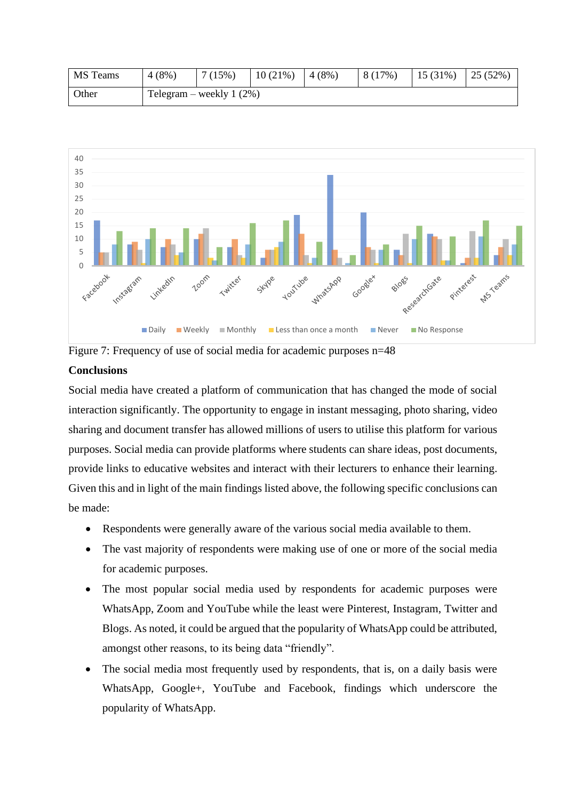| <b>MS</b> Teams | $4(8\%)$ | 7(15%)                     | $10(21\%)$ 4 (8%) | 8 (17%) | $15(31\%)$ $25(52\%)$ |  |
|-----------------|----------|----------------------------|-------------------|---------|-----------------------|--|
| Other           |          | Telegram – weekly $1(2\%)$ |                   |         |                       |  |



Figure 7: Frequency of use of social media for academic purposes n=48

# **Conclusions**

Social media have created a platform of communication that has changed the mode of social interaction significantly. The opportunity to engage in instant messaging, photo sharing, video sharing and document transfer has allowed millions of users to utilise this platform for various purposes. Social media can provide platforms where students can share ideas, post documents, provide links to educative websites and interact with their lecturers to enhance their learning. Given this and in light of the main findings listed above, the following specific conclusions can be made:

- Respondents were generally aware of the various social media available to them.
- The vast majority of respondents were making use of one or more of the social media for academic purposes.
- The most popular social media used by respondents for academic purposes were WhatsApp, Zoom and YouTube while the least were Pinterest, Instagram, Twitter and Blogs. As noted, it could be argued that the popularity of WhatsApp could be attributed, amongst other reasons, to its being data "friendly".
- The social media most frequently used by respondents, that is, on a daily basis were WhatsApp, Google+, YouTube and Facebook, findings which underscore the popularity of WhatsApp.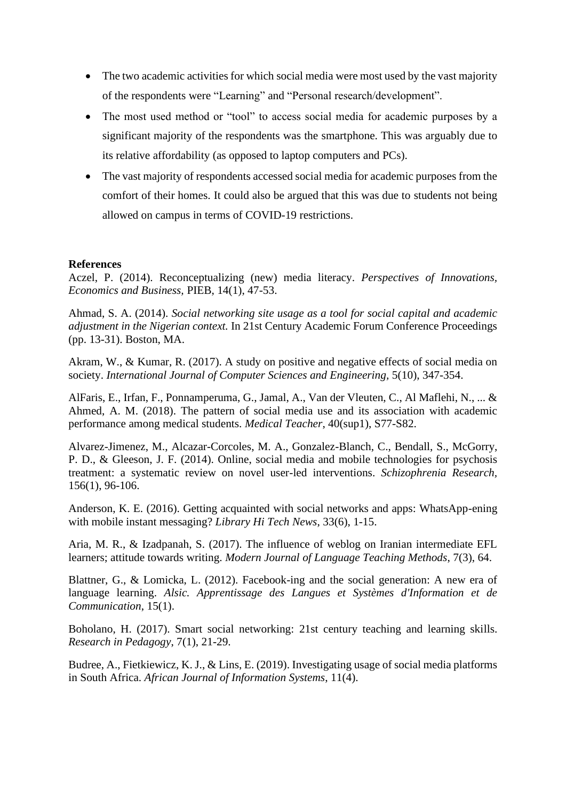- The two academic activities for which social media were most used by the vast majority of the respondents were "Learning" and "Personal research/development".
- The most used method or "tool" to access social media for academic purposes by a significant majority of the respondents was the smartphone. This was arguably due to its relative affordability (as opposed to laptop computers and PCs).
- The vast majority of respondents accessed social media for academic purposes from the comfort of their homes. It could also be argued that this was due to students not being allowed on campus in terms of COVID-19 restrictions.

#### **References**

Aczel, P. (2014). Reconceptualizing (new) media literacy. *Perspectives of Innovations, Economics and Business,* PIEB, 14(1), 47-53.

Ahmad, S. A. (2014). *Social networking site usage as a tool for social capital and academic adjustment in the Nigerian context.* In 21st Century Academic Forum Conference Proceedings (pp. 13-31). Boston, MA.

Akram, W., & Kumar, R. (2017). A study on positive and negative effects of social media on society. *International Journal of Computer Sciences and Engineering,* 5(10), 347-354.

AlFaris, E., Irfan, F., Ponnamperuma, G., Jamal, A., Van der Vleuten, C., Al Maflehi, N., ... & Ahmed, A. M. (2018). The pattern of social media use and its association with academic performance among medical students. *Medical Teacher*, 40(sup1), S77-S82.

Alvarez-Jimenez, M., Alcazar-Corcoles, M. A., Gonzalez-Blanch, C., Bendall, S., McGorry, P. D., & Gleeson, J. F. (2014). Online, social media and mobile technologies for psychosis treatment: a systematic review on novel user-led interventions. *Schizophrenia Research,* 156(1), 96-106.

Anderson, K. E. (2016). Getting acquainted with social networks and apps: WhatsApp-ening with mobile instant messaging? *Library Hi Tech News*, 33(6), 1-15.

Aria, M. R., & Izadpanah, S. (2017). The influence of weblog on Iranian intermediate EFL learners; attitude towards writing. *Modern Journal of Language Teaching Methods*, 7(3), 64.

Blattner, G., & Lomicka, L. (2012). Facebook-ing and the social generation: A new era of language learning. *Alsic. Apprentissage des Langues et Systèmes d'Information et de Communication*, 15(1).

Boholano, H. (2017). Smart social networking: 21st century teaching and learning skills. *Research in Pedagogy*, 7(1), 21-29.

Budree, A., Fietkiewicz, K. J., & Lins, E. (2019). Investigating usage of social media platforms in South Africa. *African Journal of Information Systems*, 11(4).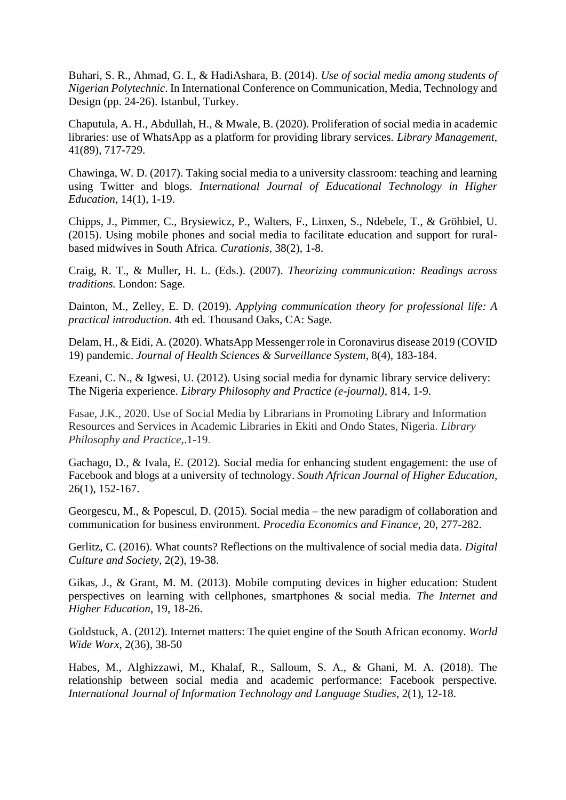Buhari, S. R., Ahmad, G. I., & HadiAshara, B. (2014). *Use of social media among students of Nigerian Polytechnic*. In International Conference on Communication, Media, Technology and Design (pp. 24-26). Istanbul, Turkey.

Chaputula, A. H., Abdullah, H., & Mwale, B. (2020). Proliferation of social media in academic libraries: use of WhatsApp as a platform for providing library services. *Library Management*, 41(89), 717-729.

Chawinga, W. D. (2017). Taking social media to a university classroom: teaching and learning using Twitter and blogs. *International Journal of Educational Technology in Higher Education*, 14(1), 1-19.

Chipps, J., Pimmer, C., Brysiewicz, P., Walters, F., Linxen, S., Ndebele, T., & Gröhbiel, U. (2015). Using mobile phones and social media to facilitate education and support for ruralbased midwives in South Africa. *Curationis*, 38(2), 1-8.

Craig, R. T., & Muller, H. L. (Eds.). (2007). *Theorizing communication: Readings across traditions.* London: Sage.

Dainton, M., Zelley, E. D. (2019). *Applying communication theory for professional life: A practical introduction*. 4th ed. Thousand Oaks, CA: Sage.

Delam, H., & Eidi, A. (2020). WhatsApp Messenger role in Coronavirus disease 2019 (COVID 19) pandemic. *Journal of Health Sciences & Surveillance System*, 8(4), 183-184.

Ezeani, C. N., & Igwesi, U. (2012). Using social media for dynamic library service delivery: The Nigeria experience. *Library Philosophy and Practice (e-journal)*, 814, 1-9.

Fasae, J.K., 2020. Use of Social Media by Librarians in Promoting Library and Information Resources and Services in Academic Libraries in Ekiti and Ondo States, Nigeria. *Library Philosophy and Practice*,.1-19.

Gachago, D., & Ivala, E. (2012). Social media for enhancing student engagement: the use of Facebook and blogs at a university of technology. *South African Journal of Higher Education*, 26(1), 152-167.

Georgescu, M., & Popescul, D. (2015). Social media – the new paradigm of collaboration and communication for business environment. *Procedia Economics and Finance*, 20, 277-282.

Gerlitz, C. (2016). What counts? Reflections on the multivalence of social media data. *Digital Culture and Society,* 2(2), 19-38.

Gikas, J., & Grant, M. M. (2013). Mobile computing devices in higher education: Student perspectives on learning with cellphones, smartphones & social media. *The Internet and Higher Education*, 19, 18-26.

Goldstuck, A. (2012). Internet matters: The quiet engine of the South African economy*. World Wide Worx,* 2(36), 38-50

Habes, M., Alghizzawi, M., Khalaf, R., Salloum, S. A., & Ghani, M. A. (2018). The relationship between social media and academic performance: Facebook perspective. *International Journal of Information Technology and Language Studies*, 2(1), 12-18.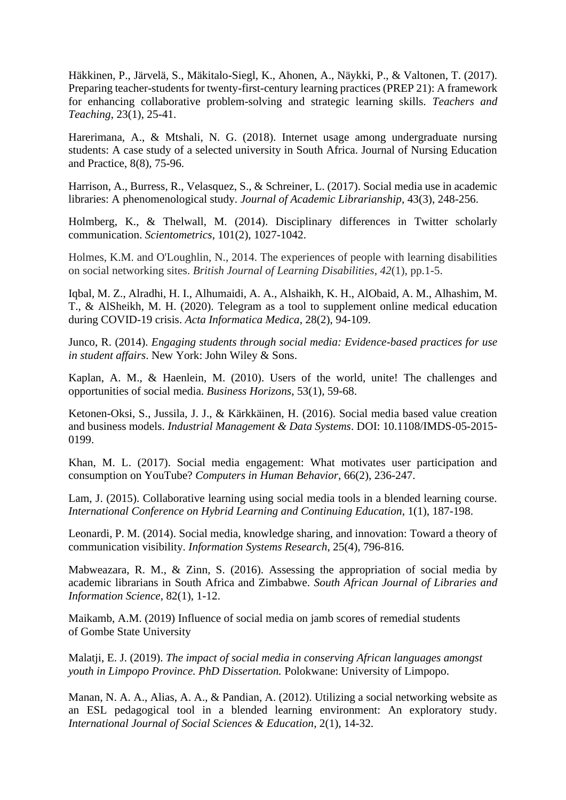Häkkinen, P., Järvelä, S., Mäkitalo-Siegl, K., Ahonen, A., Näykki, P., & Valtonen, T. (2017). Preparing teacher-students for twenty-first-century learning practices (PREP 21): A framework for enhancing collaborative problem-solving and strategic learning skills. *Teachers and Teaching*, 23(1), 25-41.

Harerimana, A., & Mtshali, N. G. (2018). Internet usage among undergraduate nursing students: A case study of a selected university in South Africa. Journal of Nursing Education and Practice, 8(8), 75-96.

Harrison, A., Burress, R., Velasquez, S., & Schreiner, L. (2017). Social media use in academic libraries: A phenomenological study. *Journal of Academic Librarianship*, 43(3), 248-256.

Holmberg, K., & Thelwall, M. (2014). Disciplinary differences in Twitter scholarly communication. *Scientometrics*, 101(2), 1027-1042.

Holmes, K.M. and O'Loughlin, N., 2014. The experiences of people with learning disabilities on social networking sites. *British Journal of Learning Disabilities*, *42*(1), pp.1-5.

Iqbal, M. Z., Alradhi, H. I., Alhumaidi, A. A., Alshaikh, K. H., AlObaid, A. M., Alhashim, M. T., & AlSheikh, M. H. (2020). Telegram as a tool to supplement online medical education during COVID-19 crisis. *Acta Informatica Medica*, 28(2), 94-109.

Junco, R. (2014). *Engaging students through social media: Evidence-based practices for use in student affairs*. New York: John Wiley & Sons.

Kaplan, A. M., & Haenlein, M. (2010). Users of the world, unite! The challenges and opportunities of social media. *Business Horizons*, 53(1), 59-68.

Ketonen-Oksi, S., Jussila, J. J., & Kärkkäinen, H. (2016). Social media based value creation and business models. *Industrial Management & Data Systems*. DOI: 10.1108/IMDS-05-2015- 0199.

Khan, M. L. (2017). Social media engagement: What motivates user participation and consumption on YouTube? *Computers in Human Behavior*, 66(2), 236-247.

Lam, J. (2015). Collaborative learning using social media tools in a blended learning course. *International Conference on Hybrid Learning and Continuing Education*, 1(1), 187-198.

Leonardi, P. M. (2014). Social media, knowledge sharing, and innovation: Toward a theory of communication visibility. *Information Systems Research*, 25(4), 796-816.

Mabweazara, R. M., & Zinn, S. (2016). Assessing the appropriation of social media by academic librarians in South Africa and Zimbabwe. *South African Journal of Libraries and Information Science*, 82(1), 1-12.

Maikamb, A.M. (2019) Influence of social media on jamb scores of remedial students of Gombe State University

Malatji, E. J. (2019). *The impact of social media in conserving African languages amongst youth in Limpopo Province. PhD Dissertation.* Polokwane: University of Limpopo.

Manan, N. A. A., Alias, A. A., & Pandian, A. (2012). Utilizing a social networking website as an ESL pedagogical tool in a blended learning environment: An exploratory study. *International Journal of Social Sciences & Education*, 2(1), 14-32.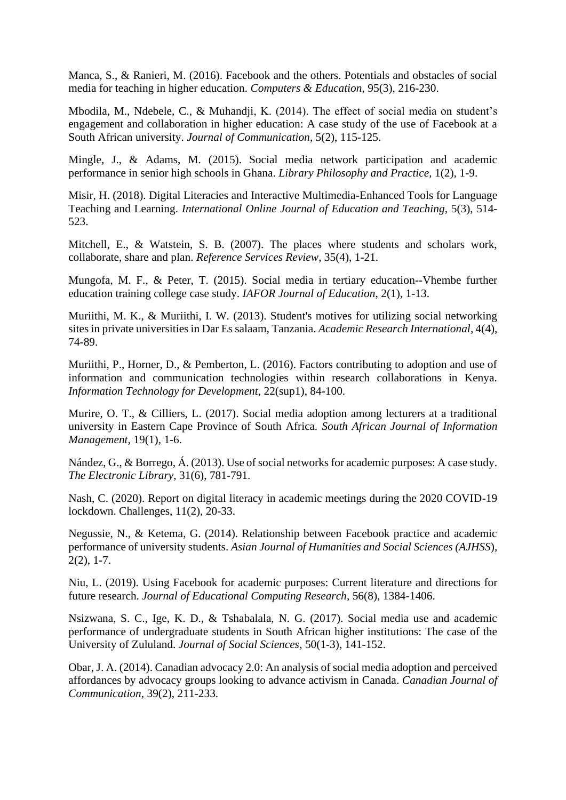Manca, S., & Ranieri, M. (2016). Facebook and the others. Potentials and obstacles of social media for teaching in higher education. *Computers & Education*, 95(3), 216-230.

Mbodila, M., Ndebele, C., & Muhandji, K. (2014). The effect of social media on student's engagement and collaboration in higher education: A case study of the use of Facebook at a South African university. *Journal of Communication*, 5(2), 115-125.

Mingle, J., & Adams, M. (2015). Social media network participation and academic performance in senior high schools in Ghana. *Library Philosophy and Practice,* 1(2), 1-9.

Misir, H. (2018). Digital Literacies and Interactive Multimedia-Enhanced Tools for Language Teaching and Learning. *International Online Journal of Education and Teaching*, 5(3), 514- 523.

Mitchell, E., & Watstein, S. B. (2007). The places where students and scholars work, collaborate, share and plan. *Reference Services Review*, 35(4), 1-21.

Mungofa, M. F., & Peter, T. (2015). Social media in tertiary education--Vhembe further education training college case study. *IAFOR Journal of Education*, 2(1), 1-13.

Muriithi, M. K., & Muriithi, I. W. (2013). Student's motives for utilizing social networking sites in private universities in Dar Es salaam, Tanzania. *Academic Research International*, 4(4), 74-89.

Muriithi, P., Horner, D., & Pemberton, L. (2016). Factors contributing to adoption and use of information and communication technologies within research collaborations in Kenya. *Information Technology for Development*, 22(sup1), 84-100.

Murire, O. T., & Cilliers, L. (2017). Social media adoption among lecturers at a traditional university in Eastern Cape Province of South Africa*. South African Journal of Information Management,* 19(1), 1-6.

Nández, G., & Borrego, Á. (2013). Use of social networks for academic purposes: A case study. *The Electronic Library*, 31(6), 781-791.

Nash, C. (2020). Report on digital literacy in academic meetings during the 2020 COVID-19 lockdown. Challenges, 11(2), 20-33.

Negussie, N., & Ketema, G. (2014). Relationship between Facebook practice and academic performance of university students. *Asian Journal of Humanities and Social Sciences (AJHSS*),  $2(2)$ , 1-7.

Niu, L. (2019). Using Facebook for academic purposes: Current literature and directions for future research. *Journal of Educational Computing Research*, 56(8), 1384-1406.

Nsizwana, S. C., Ige, K. D., & Tshabalala, N. G. (2017). Social media use and academic performance of undergraduate students in South African higher institutions: The case of the University of Zululand. *Journal of Social Sciences*, 50(1-3), 141-152.

Obar, J. A. (2014). Canadian advocacy 2.0: An analysis of social media adoption and perceived affordances by advocacy groups looking to advance activism in Canada. *Canadian Journal of Communication,* 39(2), 211-233.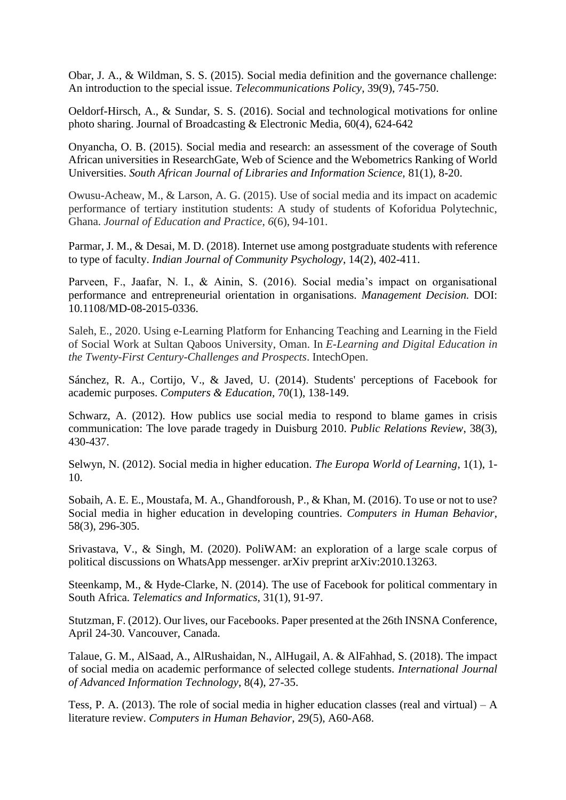Obar, J. A., & Wildman, S. S. (2015). Social media definition and the governance challenge: An introduction to the special issue. *Telecommunications Policy*, 39(9), 745-750.

Oeldorf-Hirsch, A., & Sundar, S. S. (2016). Social and technological motivations for online photo sharing. Journal of Broadcasting & Electronic Media, 60(4), 624-642

Onyancha, O. B. (2015). Social media and research: an assessment of the coverage of South African universities in ResearchGate, Web of Science and the Webometrics Ranking of World Universities. *South African Journal of Libraries and Information Science,* 81(1), 8-20.

Owusu-Acheaw, M., & Larson, A. G. (2015). Use of social media and its impact on academic performance of tertiary institution students: A study of students of Koforidua Polytechnic, Ghana. *Journal of Education and Practice*, *6*(6), 94-101.

Parmar, J. M., & Desai, M. D. (2018). Internet use among postgraduate students with reference to type of faculty. *Indian Journal of Community Psychology*, 14(2), 402-411.

Parveen, F., Jaafar, N. I., & Ainin, S. (2016). Social media's impact on organisational performance and entrepreneurial orientation in organisations. *Management Decision.* DOI: 10.1108/MD-08-2015-0336.

Saleh, E., 2020. Using e-Learning Platform for Enhancing Teaching and Learning in the Field of Social Work at Sultan Qaboos University, Oman. In *E-Learning and Digital Education in the Twenty-First Century-Challenges and Prospects*. IntechOpen.

Sánchez, R. A., Cortijo, V., & Javed, U. (2014). Students' perceptions of Facebook for academic purposes. *Computers & Education,* 70(1), 138-149.

Schwarz, A. (2012). How publics use social media to respond to blame games in crisis communication: The love parade tragedy in Duisburg 2010. *Public Relations Review*, 38(3), 430-437.

Selwyn, N. (2012). Social media in higher education. *The Europa World of Learning*, 1(1), 1- 10.

Sobaih, A. E. E., Moustafa, M. A., Ghandforoush, P., & Khan, M. (2016). To use or not to use? Social media in higher education in developing countries. *Computers in Human Behavior*, 58(3), 296-305.

Srivastava, V., & Singh, M. (2020). PoliWAM: an exploration of a large scale corpus of political discussions on WhatsApp messenger. arXiv preprint arXiv:2010.13263.

Steenkamp, M., & Hyde-Clarke, N. (2014). The use of Facebook for political commentary in South Africa. *Telematics and Informatics,* 31(1), 91-97.

Stutzman, F. (2012). Our lives, our Facebooks. Paper presented at the 26th INSNA Conference, April 24-30. Vancouver, Canada.

Talaue, G. M., AlSaad, A., AlRushaidan, N., AlHugail, A. & AlFahhad, S. (2018). The impact of social media on academic performance of selected college students. *International Journal of Advanced Information Technology*, 8(4), 27-35.

Tess, P. A. (2013). The role of social media in higher education classes (real and virtual) – A literature review. *Computers in Human Behavior*, 29(5), A60-A68.